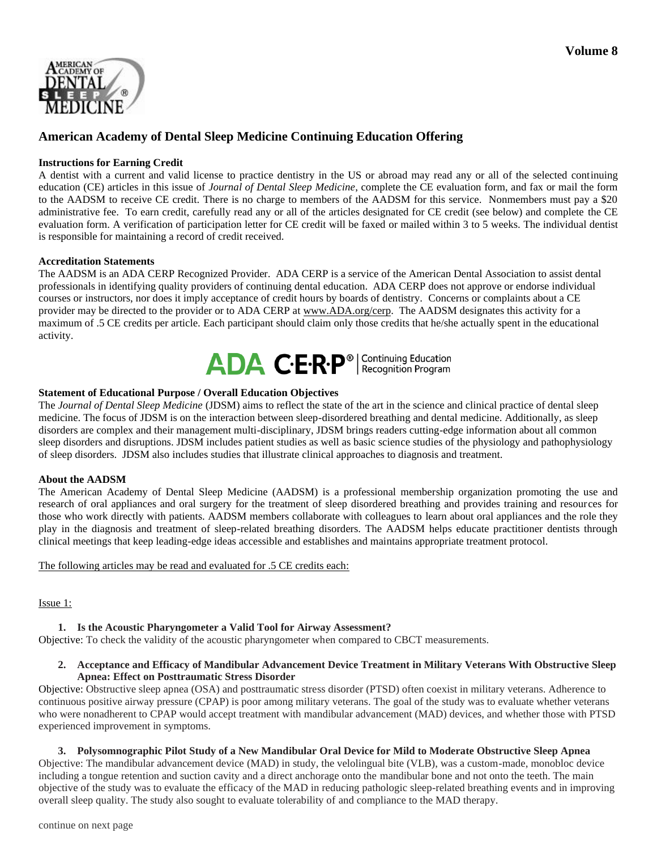

# **American Academy of Dental Sleep Medicine Continuing Education Offering**

### **Instructions for Earning Credit**

A dentist with a current and valid license to practice dentistry in the US or abroad may read any or all of the selected continuing education (CE) articles in this issue of *Journal of Dental Sleep Medicine*, complete the CE evaluation form, and fax or mail the form to the AADSM to receive CE credit. There is no charge to members of the AADSM for this service. Nonmembers must pay a \$20 administrative fee. To earn credit, carefully read any or all of the articles designated for CE credit (see below) and complete the CE evaluation form. A verification of participation letter for CE credit will be faxed or mailed within 3 to 5 weeks. The individual dentist is responsible for maintaining a record of credit received.

#### **Accreditation Statements**

The AADSM is an ADA CERP Recognized Provider. ADA CERP is a service of the American Dental Association to assist dental professionals in identifying quality providers of continuing dental education. ADA CERP does not approve or endorse individual courses or instructors, nor does it imply acceptance of credit hours by boards of dentistry. Concerns or complaints about a CE provider may be directed to the provider or to ADA CERP at www.ADA.org/cerp. The AADSM designates this activity for a maximum of .5 CE credits per article. Each participant should claim only those credits that he/she actually spent in the educational activity.



### **Statement of Educational Purpose / Overall Education Objectives**

The *Journal of Dental Sleep Medicine* (JDSM) aims to reflect the state of the art in the science and clinical practice of dental sleep medicine. The focus of JDSM is on the interaction between sleep-disordered breathing and dental medicine. Additionally, as sleep disorders are complex and their management multi-disciplinary, JDSM brings readers cutting-edge information about all common sleep disorders and disruptions. JDSM includes patient studies as well as basic science studies of the physiology and pathophysiology of sleep disorders. JDSM also includes studies that illustrate clinical approaches to diagnosis and treatment.

### **About the AADSM**

The American Academy of Dental Sleep Medicine (AADSM) is a professional membership organization promoting the use and research of oral appliances and oral surgery for the treatment of sleep disordered breathing and provides training and resources for those who work directly with patients. AADSM members collaborate with colleagues to learn about oral appliances and the role they play in the diagnosis and treatment of sleep-related breathing disorders. The AADSM helps educate practitioner dentists through clinical meetings that keep leading-edge ideas accessible and establishes and maintains appropriate treatment protocol.

The following articles may be read and evaluated for .5 CE credits each:

### Issue 1:

### **1. Is the Acoustic Pharyngometer a Valid Tool for Airway Assessment?**

Objective: To check the validity of the acoustic pharyngometer when compared to CBCT measurements.

### **2. Acceptance and Efficacy of Mandibular Advancement Device Treatment in Military Veterans With Obstructive Sleep Apnea: Effect on Posttraumatic Stress Disorder**

Objective: Obstructive sleep apnea (OSA) and posttraumatic stress disorder (PTSD) often coexist in military veterans. Adherence to continuous positive airway pressure (CPAP) is poor among military veterans. The goal of the study was to evaluate whether veterans who were nonadherent to CPAP would accept treatment with mandibular advancement (MAD) devices, and whether those with PTSD experienced improvement in symptoms.

### **3. Polysomnographic Pilot Study of a New Mandibular Oral Device for Mild to Moderate Obstructive Sleep Apnea**

Objective: The mandibular advancement device (MAD) in study, the velolingual bite (VLB), was a custom-made, monobloc device including a tongue retention and suction cavity and a direct anchorage onto the mandibular bone and not onto the teeth. The main objective of the study was to evaluate the efficacy of the MAD in reducing pathologic sleep-related breathing events and in improving overall sleep quality. The study also sought to evaluate tolerability of and compliance to the MAD therapy.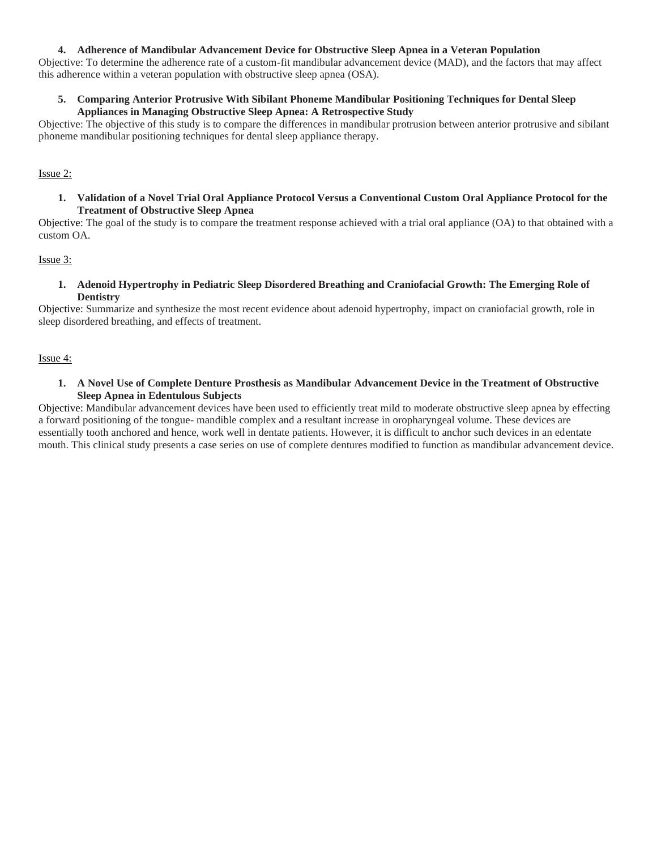### **4. Adherence of Mandibular Advancement Device for Obstructive Sleep Apnea in a Veteran Population**

Objective: To determine the adherence rate of a custom-fit mandibular advancement device (MAD), and the factors that may affect this adherence within a veteran population with obstructive sleep apnea (OSA).

### **5. Comparing Anterior Protrusive With Sibilant Phoneme Mandibular Positioning Techniques for Dental Sleep Appliances in Managing Obstructive Sleep Apnea: A Retrospective Study**

Objective: The objective of this study is to compare the differences in mandibular protrusion between anterior protrusive and sibilant phoneme mandibular positioning techniques for dental sleep appliance therapy.

Issue 2:

**1. Validation of a Novel Trial Oral Appliance Protocol Versus a Conventional Custom Oral Appliance Protocol for the Treatment of Obstructive Sleep Apnea**

Objective: The goal of the study is to compare the treatment response achieved with a trial oral appliance (OA) to that obtained with a custom OA.

Issue 3:

**1. Adenoid Hypertrophy in Pediatric Sleep Disordered Breathing and Craniofacial Growth: The Emerging Role of Dentistry**

Objective: Summarize and synthesize the most recent evidence about adenoid hypertrophy, impact on craniofacial growth, role in sleep disordered breathing, and effects of treatment.

Issue 4:

**1. A Novel Use of Complete Denture Prosthesis as Mandibular Advancement Device in the Treatment of Obstructive Sleep Apnea in Edentulous Subjects**

Objective: Mandibular advancement devices have been used to efficiently treat mild to moderate obstructive sleep apnea by effecting a forward positioning of the tongue- mandible complex and a resultant increase in oropharyngeal volume. These devices are essentially tooth anchored and hence, work well in dentate patients. However, it is difficult to anchor such devices in an edentate mouth. This clinical study presents a case series on use of complete dentures modified to function as mandibular advancement device.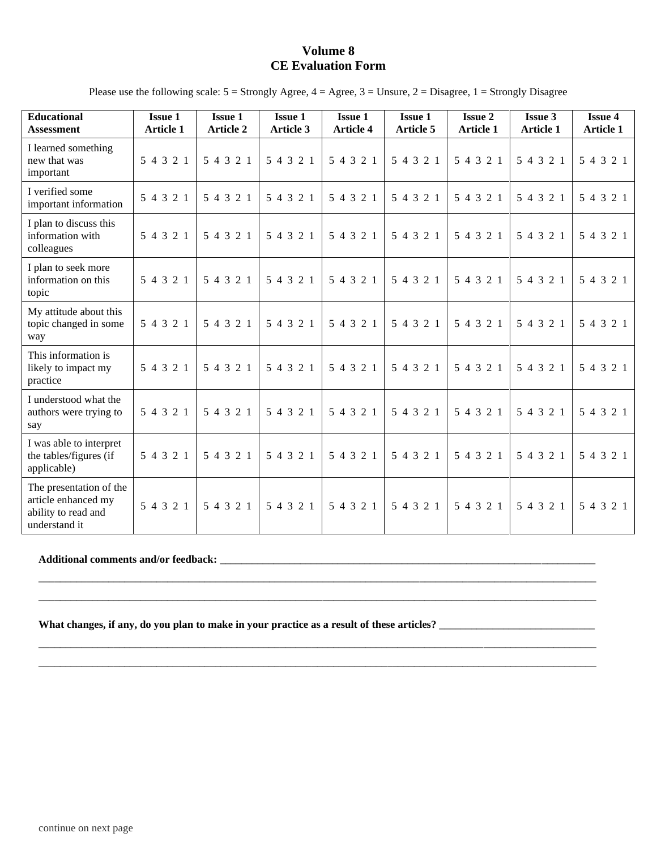## **Volume 8 CE Evaluation Form**

Please use the following scale: 5 = Strongly Agree, 4 = Agree, 3 = Unsure, 2 = Disagree, 1 = Strongly Disagree

| <b>Educational</b><br><b>Assessment</b>                                                | <b>Issue 1</b><br><b>Article 1</b> | <b>Issue 1</b><br><b>Article 2</b> | <b>Issue 1</b><br><b>Article 3</b> | <b>Issue 1</b><br><b>Article 4</b> | <b>Issue 1</b><br><b>Article 5</b> | <b>Issue 2</b><br><b>Article 1</b> | <b>Issue 3</b><br><b>Article 1</b> | <b>Issue 4</b><br><b>Article 1</b> |
|----------------------------------------------------------------------------------------|------------------------------------|------------------------------------|------------------------------------|------------------------------------|------------------------------------|------------------------------------|------------------------------------|------------------------------------|
| I learned something<br>new that was<br>important                                       | 5 4 3 2 1                          | 5 4 3 2 1                          | 5 4 3 2 1                          | 5 4 3 2 1                          | 5 4 3 2 1                          | 5 4 3 2 1                          | 5 4 3 2 1                          | 5 4 3 2 1                          |
| I verified some<br>important information                                               | 5 4 3 2 1                          | 5 4 3 2 1                          | 5 4 3 2 1                          | 5 4 3 2 1                          | 5 4 3 2 1                          | 5 4 3 2 1                          | 5 4 3 2 1                          | 5 4 3 2 1                          |
| I plan to discuss this<br>information with<br>colleagues                               | 5 4 3 2 1                          | 5 4 3 2 1                          | 5 4 3 2 1                          | 5 4 3 2 1                          | 5 4 3 2 1                          | 5 4 3 2 1                          | 5 4 3 2 1                          | 5 4 3 2 1                          |
| I plan to seek more<br>information on this<br>topic                                    | 5 4 3 2 1                          | 5 4 3 2 1                          | 5 4 3 2 1                          | 5 4 3 2 1                          | 5 4 3 2 1                          | 5 4 3 2 1                          | 5 4 3 2 1                          | 5 4 3 2 1                          |
| My attitude about this<br>topic changed in some<br>way                                 | 5 4 3 2 1                          | 5 4 3 2 1                          | 5 4 3 2 1                          | 5 4 3 2 1                          | 5 4 3 2 1                          | 5 4 3 2 1                          | 5 4 3 2 1                          | 5 4 3 2 1                          |
| This information is<br>likely to impact my<br>practice                                 | 5 4 3 2 1                          | 5 4 3 2 1                          | 5 4 3 2 1                          | 5 4 3 2 1                          | 5 4 3 2 1                          | 5 4 3 2 1                          | 5 4 3 2 1                          | 5 4 3 2 1                          |
| I understood what the<br>authors were trying to<br>say                                 | 5 4 3 2 1                          | 5 4 3 2 1                          | 5 4 3 2 1                          | 5 4 3 2 1                          | 5 4 3 2 1                          | 5 4 3 2 1                          | 5 4 3 2 1                          | 5 4 3 2 1                          |
| I was able to interpret<br>the tables/figures (if<br>applicable)                       | 5 4 3 2 1                          | 5 4 3 2 1                          | 5 4 3 2 1                          | 5 4 3 2 1                          | 5 4 3 2 1                          | 5 4 3 2 1                          | 5 4 3 2 1                          | 5 4 3 2 1                          |
| The presentation of the<br>article enhanced my<br>ability to read and<br>understand it | 5 4 3 2 1                          | 5 4 3 2 1                          | 5 4 3 2 1                          | 5 4 3 2 1                          | 5 4 3 2 1                          | 5 4 3 2 1                          | 5 4 3 2 1                          | 5 4 3 2 1                          |

\_\_\_\_\_\_\_\_\_\_\_\_\_\_\_\_\_\_\_\_\_\_\_\_\_\_\_\_\_\_\_\_\_\_\_\_\_\_\_\_\_\_\_\_\_\_\_\_\_\_\_\_\_\_\_\_\_\_\_\_\_\_\_\_\_\_\_\_\_\_\_\_\_\_\_\_\_\_\_\_\_\_\_\_\_\_\_\_\_\_\_\_\_\_\_\_\_\_\_\_\_\_\_\_ \_\_\_\_\_\_\_\_\_\_\_\_\_\_\_\_\_\_\_\_\_\_\_\_\_\_\_\_\_\_\_\_\_\_\_\_\_\_\_\_\_\_\_\_\_\_\_\_\_\_\_\_\_\_\_\_\_\_\_\_\_\_\_\_\_\_\_\_\_\_\_\_\_\_\_\_\_\_\_\_\_\_\_\_\_\_\_\_\_\_\_\_\_\_\_\_\_\_\_\_\_\_\_\_

\_\_\_\_\_\_\_\_\_\_\_\_\_\_\_\_\_\_\_\_\_\_\_\_\_\_\_\_\_\_\_\_\_\_\_\_\_\_\_\_\_\_\_\_\_\_\_\_\_\_\_\_\_\_\_\_\_\_\_\_\_\_\_\_\_\_\_\_\_\_\_\_\_\_\_\_\_\_\_\_\_\_\_\_\_\_\_\_\_\_\_\_\_\_\_\_\_\_\_\_\_\_\_\_ \_\_\_\_\_\_\_\_\_\_\_\_\_\_\_\_\_\_\_\_\_\_\_\_\_\_\_\_\_\_\_\_\_\_\_\_\_\_\_\_\_\_\_\_\_\_\_\_\_\_\_\_\_\_\_\_\_\_\_\_\_\_\_\_\_\_\_\_\_\_\_\_\_\_\_\_\_\_\_\_\_\_\_\_\_\_\_\_\_\_\_\_\_\_\_\_\_\_\_\_\_\_\_\_

#### **Additional comments and/or feedback:** \_\_\_\_\_\_\_\_\_\_\_\_\_\_\_\_\_\_\_\_\_\_\_\_\_\_\_\_\_\_\_\_\_\_\_\_\_\_\_\_\_\_\_\_\_\_\_\_\_\_\_\_\_\_\_\_\_\_\_\_\_\_\_\_\_\_\_\_\_\_

**What changes, if any, do you plan to make in your practice as a result of these articles?** \_\_\_\_\_\_\_\_\_\_\_\_\_\_\_\_\_\_\_\_\_\_\_\_\_\_\_\_\_